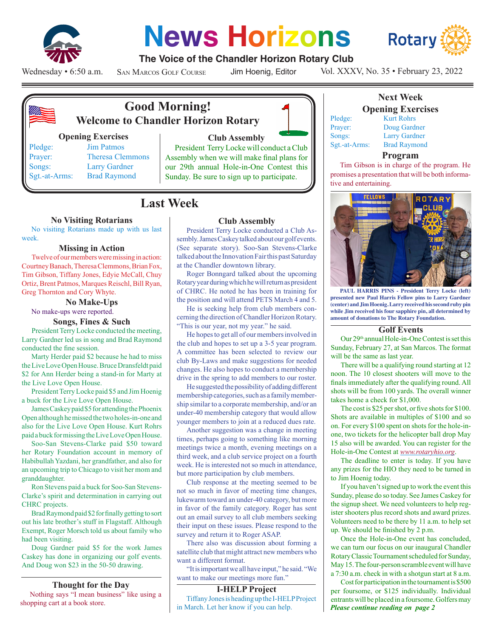

# **News Horizons**



### **The Voice of the Chandler Horizon Rotary Club**

Wednesday • 6:50 a.m.

San Marcos Golf Course

Jim Hoenig, Editor



# **Good Morning! Welcome to Chandler Horizon Rotary**

#### **Opening Exercises**

Pledge: Jim Patmos Prayer: Theresa Clemmons Songs: Larry Gardner Sgt.-at-Arms: Brad Raymond

## **Club Assembly**

President Terry Locke will conduct a Club Assembly when we will make final plans for our 29th annual Hole-in-One Contest this Sunday. Be sure to sign up to participate.

# **Last Week**

#### **No Visiting Rotarians**

No visiting Rotarians made up with us last week.

#### **Missing in Action**

Twelve of our members were missing in action: Courtney Banach, Theresa Clemmons, Brian Fox, Tim Gibson, Tiffany Jones, Edyie McCall, Chuy Ortiz, Brent Patmos, Marques Reischl, Bill Ryan, Greg Thornton and Cory Whyte.

#### **No Make-Ups**

No make-ups were reported.

#### **Songs, Fines & Such**

President Terry Locke conducted the meeting, Larry Gardner led us in song and Brad Raymond conducted the fine session.

Marty Herder paid \$2 because he had to miss the Live Love Open House. Bruce Dransfeldt paid \$2 for Ann Herder being a stand-in for Marty at the Live Love Open House.

President Terry Locke paid \$5 and Jim Hoenig a buck for the Live Love Open House.

James Caskey paid \$5 for attending the Phoenix Open although he missed the two holes-in-one and also for the Live Love Open House. Kurt Rohrs paid a buck for missing the Live Love Open House.

Soo-San Stevens-Clarke paid \$50 toward her Rotary Foundation account in memory of Habibullah Yazdani, her grandfather, and also for an upcoming trip to Chicago to visit her mom and granddaughter.

Ron Stevens paid a buck for Soo-San Stevens-Clarke's spirit and determination in carrying out CHRC projects.

Brad Raymond paid \$2 for finally getting to sort out his late brother's stuff in Flagstaff. Although Exempt, Roger Morsch told us about family who had been visiting.

Doug Gardner paid \$5 for the work James Caskey has done in organizing our golf events. And Doug won \$23 in the 50-50 drawing.

#### **Thought for the Day**

Nothing says "I mean business" like using a shopping cart at a book store.

#### **Club Assembly**

President Terry Locke conducted a Club Assembly. James Caskey talked about our golf events. (See separate story). Soo-San Stevens-Clarke talked about the Innovation Fair this past Saturday at the Chandler downtown library.

Roger Bonngard talked about the upcoming Rotary year during which he will return as president of CHRC. He noted he has been in training for the position and will attend PETS March 4 and 5.

He is seeking help from club members concerning the direction of Chandler Horizon Rotary. "This is our year, not my year." he said.

He hopes to get all of our members involved in the club and hopes to set up a 3-5 year program. A committee has been selected to review our club By-Laws and make suggestions for needed changes. He also hopes to conduct a membership drive in the spring to add members to our roster.

He suggested the possibility of adding different membership categories, such as a family membership similar to a corporate membership, and/or an under-40 membership category that would allow younger members to join at a reduced dues rate.

Another suggestion was a change in meeting times, perhaps going to something like morning meetings twice a month, evening meetings on a third week, and a club service project on a fourth week. He is interested not so much in attendance, but more participation by club members.

Club response at the meeting seemed to be not so much in favor of meeting time changes, lukewarm toward an under-40 category, but more in favor of the family category. Roger has sent out an email survey to all club members seeking their input on these issues. Please respond to the survey and return it to Roger ASAP.

There also was discussion about forming a satellite club that might attract new members who want a different format.

"It is important we all have input," he said. "We want to make our meetings more fun."

#### **I-HELP Project**

Tiffany Jones is heading up the I-HELP Project in March. Let her know if you can help.

**Opening Exercises** Pledge: Kurt Rohrs

Prayer: Doug Gardner Songs: Larry Gardner Sgt.-at-Arms: Brad Raymond

**Next Week**

Vol. XXXV, No. 35 • February 23, 2022

#### **Program**

Tim Gibson is in charge of the program. He promises a presentation that will be both informative and entertaining.



**PAUL HARRIS PINS - President Terry Locke (left) presented new Paul Harris Fellow pins to Larry Gardner (center) and Jim Hoenig. Larry received his second ruby pin while Jim received his four sapphire pin, all determined by amount of donations to The Rotary Foundation.**

#### **Golf Events**

Our 29th annual Hole-in-One Contest is set this Sunday, February 27, at San Marcos. The format will be the same as last year.

There will be a qualifying round starting at 12 noon. The 10 closest shooters will move to the finals immediately after the qualifying round. All shots will be from 100 yards. The overall winner takes home a check for \$1,000.

The cost is \$25 per shot, or five shots for \$100. Shots are available in multiples of \$100 and so on. For every \$100 spent on shots for the hole-inone, two tickets for the helicopter ball drop May 15 also will be awarded. You can register for the Hole-in-One Contest at *www.rotaryhio.org*.

The deadline to enter is today. If you have any prizes for the HIO they need to be turned in to Jim Hoenig today.

If you haven't signed up to work the event this Sunday, please do so today. See James Caskey for the signup sheet. We need volunteers to help register shooters plus record shots and award prizes. Volunteers need to be there by 11 a.m. to help set up. We should be finished by 2 p.m.

Once the Hole-in-One event has concluded, we can turn our focus on our inaugural Chandler Rotary Classic Tournament scheduled for Sunday, May 15. The four-person scramble event will have a 7:30 a.m. check in with a shotgun start at 8 a.m.

*Please continue reading on page 2* Cost for participation in the tournament is \$500 per foursome, or \$125 individually. Individual entrants will be placed in a foursome. Golfers may